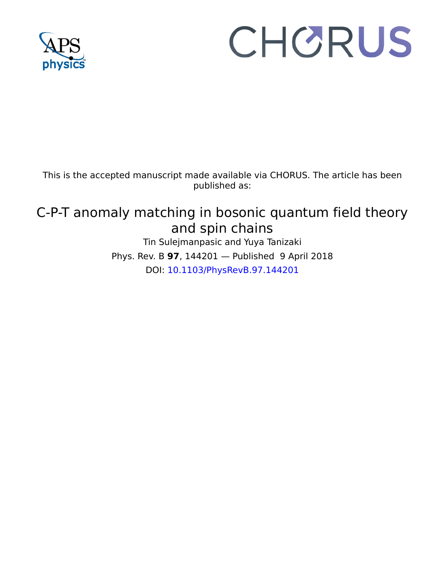

# CHORUS

This is the accepted manuscript made available via CHORUS. The article has been published as:

# C-P-T anomaly matching in bosonic quantum field theory and spin chains

Tin Sulejmanpasic and Yuya Tanizaki Phys. Rev. B **97**, 144201 — Published 9 April 2018 DOI: [10.1103/PhysRevB.97.144201](http://dx.doi.org/10.1103/PhysRevB.97.144201)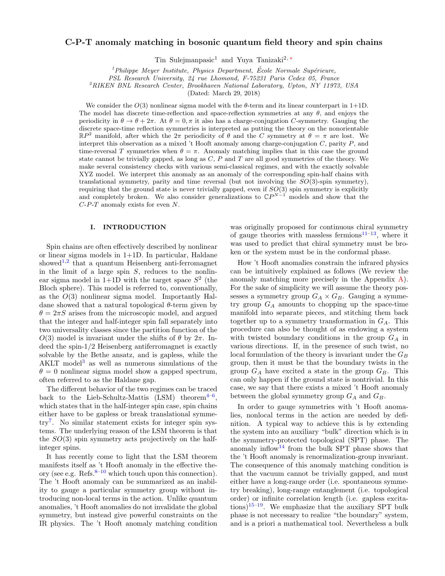# C-P-T anomaly matching in bosonic quantum field theory and spin chains

Tin Sulejmanpasic<sup>1</sup> and Yuya Tanizaki<sup>2,[∗](#page-12-0)</sup>

 $1$ Philippe Meyer Institute, Physics Department, École Normale Supérieure,

PSL Research University, 24 rue Lhomond, F-75231 Paris Cedex 05, France

<sup>2</sup>RIKEN BNL Research Center, Brookhaven National Laboratory, Upton, NY 11973, USA

(Dated: March 29, 2018)

We consider the  $O(3)$  nonlinear sigma model with the  $\theta$ -term and its linear counterpart in 1+1D. The model has discrete time-reflection and space-reflection symmetries at any  $\theta$ , and enjoys the periodicity in  $\theta \to \theta + 2\pi$ . At  $\theta = 0, \pi$  it also has a charge-conjugation C-symmetry. Gauging the discrete space-time reflection symmetries is interpreted as putting the theory on the nonorientable  $\mathbb{R}P^2$  manifold, after which the  $2\pi$  periodicity of  $\theta$  and the C symmetry at  $\theta = \pi$  are lost. We interpret this observation as a mixed 't Hooft anomaly among charge-conjugation  $C$ , parity  $P$ , and time-reversal T symmetries when  $\theta = \pi$ . Anomaly matching implies that in this case the ground state cannot be trivially gapped, as long as  $C, P$  and  $T$  are all good symmetries of the theory. We make several consistency checks with various semi-classical regimes, and with the exactly solvable XYZ model. We interpret this anomaly as an anomaly of the corresponding spin-half chains with translational symmetry, parity and time reversal (but not involving the  $SO(3)$ -spin symmetry), requiring that the ground state is never trivially gapped, even if  $SO(3)$  spin symmetry is explicitly and completely broken. We also consider generalizations to  $\mathbb{C}P^{N-1}$  models and show that the  $C-P-T$  anomaly exists for even N.

### I. INTRODUCTION

Spin chains are often effectively described by nonlinear or linear sigma models in 1+1D. In particular, Haldane showed<sup>[1](#page-12-1)[,2](#page-12-2)</sup> that a quantum Heisenberg anti-ferromagnet in the limit of a large spin  $S$ , reduces to the nonlinear sigma model in  $1+1D$  with the target space  $S^2$  (the Bloch sphere). This model is referred to, conventionally, as the  $O(3)$  nonlinear sigma model. Importantly Haldane showed that a natural topological  $\theta$ -term given by  $\theta = 2\pi S$  arises from the microscopic model, and argued that the integer and half-integer spin fall separately into two universality classes since the partition function of the  $O(3)$  model is invariant under the shifts of  $\theta$  by  $2\pi$ . Indeed the spin-1/2 Heisenberg antiferromagnet is exactly solvable by the Bethe ansatz, and is gapless, while the AKLT model<sup>[3](#page-12-3)</sup> as well as numerous simulations of the  $\theta = 0$  nonlinear sigma model show a gapped spectrum, often referred to as the Haldane gap.

The different behavior of the two regimes can be traced back to the Lieb-Schultz-Mattis (LSM) theorem<sup>4-[6](#page-12-5)</sup>, which states that in the half-integer spin case, spin chains either have to be gapless or break translational symmetry[7](#page-13-0) . No similar statement exists for integer spin systems. The underlying reason of the LSM theorem is that the  $SO(3)$  spin symmetry acts projectively on the halfinteger spins.

It has recently come to light that the LSM theorem manifests itself as 't Hooft anomaly in the effective theory (see e.g. Refs. $8-10$  $8-10$  which touch upon this connection). The 't Hooft anomaly can be summarized as an inability to gauge a particular symmetry group without introducing non-local terms in the action. Unlike quantum anomalies, 't Hooft anomalies do not invalidate the global symmetry, but instead give powerful constraints on the IR physics. The 't Hooft anomaly matching condition

was originally proposed for continuous chiral symmetry of gauge theories with massless fermions $11-13$  $11-13$ , where it was used to predict that chiral symmetry must be broken or the system must be in the conformal phase.

How 't Hooft anomalies constrain the infrared physics can be intuitively explained as follows (We review the anomaly matching more precisely in the Appendix [A\)](#page-9-0). For the sake of simplicity we will assume the theory possesses a symmetry group  $G_A \times G_B$ . Gauging a symmetry group  $G_A$  amounts to chopping up the space-time manifold into separate pieces, and stitching them back together up to a symmetry transformation in  $G_A$ . This procedure can also be thought of as endowing a system with twisted boundary conditions in the group  $G_A$  in various directions. If, in the presence of such twist, no local formulation of the theory is invariant under the  $G_B$ group, then it must be that the boundary twists in the group  $G_A$  have excited a state in the group  $G_B$ . This can only happen if the ground state is nontrivial. In this case, we say that there exists a mixed 't Hooft anomaly between the global symmetry group  $G_A$  and  $G_B$ .

In order to gauge symmetries with 't Hooft anomalies, nonlocal terms in the action are needed by definition. A typical way to achieve this is by extending the system into an auxiliary "bulk" direction which is in the symmetry-protected topological (SPT) phase. The anomaly inflow<sup>[14](#page-13-5)</sup> from the bulk SPT phase shows that the 't Hooft anomaly is renormalization-group invariant. The consequence of this anomaly matching condition is that the vacuum cannot be trivially gapped, and must either have a long-range order (i.e. spontaneous symmetry breaking), long-range entanglement (i.e. topological order) or infinite correlation length (i.e. gapless excita-tions)<sup>[15–](#page-13-6)[19](#page-13-7)</sup>. We emphasize that the auxiliary SPT bulk phase is not necessary to realize "the boundary" system, and is a priori a mathematical tool. Nevertheless a bulk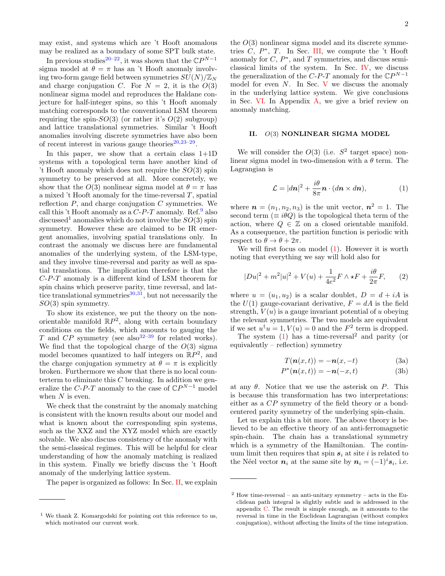may exist, and systems which are 't Hooft anomalous may be realized as a boundary of some SPT bulk state.

In previous studies<sup>[20–](#page-13-8)[22](#page-13-9)</sup>, it was shown that the  $\mathbb{C}P^{N-1}$ sigma model at  $\theta = \pi$  has an 't Hooft anomaly involving two-form gauge field between symmetries  $SU(N)/\mathbb{Z}_N$ and charge conjugation C. For  $N = 2$ , it is the  $O(3)$ nonlinear sigma model and reproduces the Haldane conjecture for half-integer spins, so this 't Hooft anomaly matching corresponds to the conventional LSM theorem requiring the spin- $SO(3)$  (or rather it's  $O(2)$  subgroup) and lattice translational symmetries. Similar 't Hooft anomalies involving discrete symmetries have also been of recent interest in various gauge theories $20,23-29$  $20,23-29$  $20,23-29$ .

In this paper, we show that a certain class  $1+1D$ systems with a topological term have another kind of 't Hooft anomaly which does not require the  $SO(3)$  spin symmetry to be preserved at all. More concretely, we show that the  $O(3)$  nonlinear sigma model at  $\theta = \pi$  has a mixed 't Hooft anomaly for the time-reversal  $T$ , spatial reflection  $P$ , and charge conjugation  $C$  symmetries. We call this 't Hooft anomaly as a  $C-P-T$  anomaly. Ref.<sup>[9](#page-13-12)</sup> also discussed<sup>1</sup> anomalies which do not involve the  $SO(3)$  spin symmetry. However these are claimed to be IR emergent anomalies, involving spatial translations only. In contrast the anomaly we discuss here are fundamental anomalies of the underlying system, of the LSM-type, and they involve time-reversal and parity as well as spatial translations. The implication therefore is that the C-P-T anomaly is a different kind of LSM theorem for spin chains which preserve parity, time reversal, and lattice translational symmetries $30,31$  $30,31$ , but not necessarily the  $SO(3)$  spin symmetry.

To show its existence, we put the theory on the nonorientable manifold  $\mathbb{R}P^2$ , along with certain boundary conditions on the fields, which amounts to gauging the T and  $CP$  symmetry (see also<sup>32-[39](#page-13-16)</sup> for related works). We find that the topological charge of the  $O(3)$  sigma model becomes quantized to half integers on  $\mathbb{R}P^2$ , and the charge conjugation symmetry at  $\theta = \pi$  is explicitly broken. Furthermore we show that there is no local counterterm to eliminate this  $C$  breaking. In addition we generalize the  $C$ -P-T anomaly to the case of  $\mathbb{C}P^{N-1}$  model when  $N$  is even.

We check that the constraint by the anomaly matching is consistent with the known results about our model and what is known about the corresponding spin systems, such as the XXZ and the XYZ model which are exactly solvable. We also discuss consistency of the anomaly with the semi-classical regimes. This will be helpful for clear understanding of how the anomaly matching is realized in this system. Finally we briefly discuss the 't Hooft anomaly of the underlying lattice system.

The paper is organized as follows: In Sec. [II,](#page-2-0) we explain

the  $O(3)$  nonlinear sigma model and its discrete symmetries  $C, P^*, T$ . In Sec. [III,](#page-3-0) we compute the 't Hooft anomaly for  $C, P^*$ , and T symmetries, and discuss semiclassical limits of the system. In Sec. [IV,](#page-8-0) we discuss the generalization of the  $C$ -P-T anomaly for the  $\mathbb{C}P^{N-1}$ model for even  $N$ . In Sec. [V](#page-8-1) we discuss the anomaly in the underlying lattice system. We give conclusions in Sec. [VI.](#page-9-1) In Appendix [A,](#page-9-0) we give a brief review on anomaly matching.

# <span id="page-2-0"></span>II. O(3) NONLINEAR SIGMA MODEL

We will consider the  $O(3)$  (i.e.  $S^2$  target space) nonlinear sigma model in two-dimension with a  $\theta$  term. The Lagrangian is

<span id="page-2-1"></span>
$$
\mathcal{L} = |dn|^2 + \frac{i\theta}{8\pi} \mathbf{n} \cdot (d\mathbf{n} \times d\mathbf{n}), \tag{1}
$$

where  $\mathbf{n} = (n_1, n_2, n_3)$  is the unit vector,  $\mathbf{n}^2 = 1$ . The second term ( $\equiv i\theta Q$ ) is the topological theta term of the action, where  $Q \in \mathbb{Z}$  on a closed orientable manifold. As a consequence, the partition function is periodic with respect to  $\theta \to \theta + 2\pi$ .

We will first focus on model  $(1)$ . However it is worth noting that everything we say will hold also for

<span id="page-2-3"></span>
$$
|Du|^2 + m^2|u|^2 + V(u) + \frac{1}{4e^2}F \wedge \star F + \frac{i\theta}{2\pi}F,
$$
 (2)

where  $u = (u_1, u_2)$  is a scalar doublet,  $D = d + iA$  is the  $U(1)$  gauge-covariant derivative,  $F = dA$  is the field strength,  $V(u)$  is a gauge invariant potential of u obeying the relevant symmetries. The two models are equivalent if we set  $u^{\dagger}u = 1, V(u) = 0$  and the  $F^2$  term is dropped.

The system  $(1)$  has a time-reversal<sup>2</sup> and parity (or equivalently – reflection) symmetry

<span id="page-2-2"></span>
$$
T(\mathbf{n}(x,t)) = -\mathbf{n}(x,-t) \tag{3a}
$$

$$
P^*(\mathbf{n}(x,t)) = -\mathbf{n}(-x,t) \tag{3b}
$$

at any  $\theta$ . Notice that we use the asterisk on P. This is because this transformation has two interpretations: either as a CP symmetry of the field theory or a bondcentered parity symmetry of the underlying spin-chain.

Let us explain this a bit more. The above theory is believed to be an effective theory of an anti-ferromagnetic spin-chain. The chain has a translational symmetry which is a symmetry of the Hamiltonian. The continuum limit then requires that spin  $s_i$  at site i is related to the Néel vector  $n_i$  at the same site by  $n_i = (-1)^i s_i$ , i.e.

<sup>1</sup> We thank Z. Komargodski for pointing out this reference to us, which motivated our current work.

 $2$  How time-reversal – an anti-unitary symmetry – acts in the Euclidean path integral is slightly subtle and is addressed in the appendix [C.](#page-11-0) The result is simple enough, as it amounts to the reversal in time in the Euclidean Lagrangian (without complex conjugation), without affecting the limits of the time integration.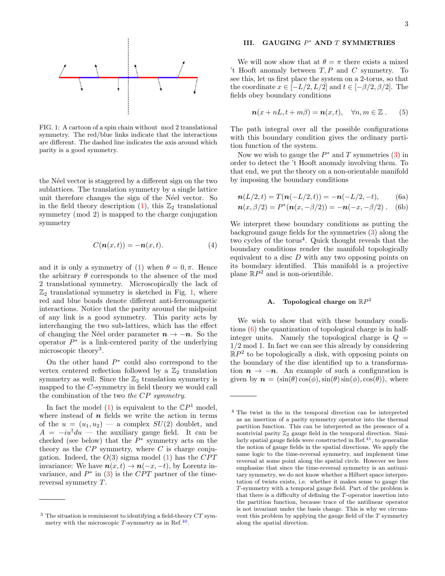

<span id="page-3-1"></span>FIG. 1: A cartoon of a spin chain without mod 2 translational symmetry. The red/blue links indicate that the interactions are different. The dashed line indicates the axis around which parity is a good symmetry.

the N'eel vector is staggered by a different sign on the two sublattices. The translation symmetry by a single lattice unit therefore changes the sign of the N´eel vector. So in the field theory description [\(1\)](#page-2-1), this  $\mathbb{Z}_2$  translational symmetry (mod 2) is mapped to the charge conjugation symmetry

$$
C(\mathbf{n}(x,t)) = -\mathbf{n}(x,t). \tag{4}
$$

and it is only a symmetry of [\(1\)](#page-2-1) when  $\theta = 0, \pi$ . Hence the arbitrary  $\theta$  corresponds to the absence of the mod 2 translational symmetry. Microscopically the lack of  $\mathbb{Z}_2$  translational symmetry is sketched in Fig. [1,](#page-3-1) where red and blue bonds denote different anti-ferromagnetic interactions. Notice that the parity around the midpoint of any link is a good symmetry. This parity acts by interchanging the two sub-lattices, which has the effect of changing the Néel order parameter  $n \to -n$ . So the operator  $P^*$  is a link-centered parity of the underlying microscopic theory<sup>3</sup>.

On the other hand  $P^*$  could also correspond to the vertex centered reflection followed by a  $\mathbb{Z}_2$  translation symmetry as well. Since the  $\mathbb{Z}_2$  translation symmetry is mapped to the C-symmetry in field theory we would call the combination of the two the CP symmetry.

In fact the model [\(1\)](#page-2-1) is equivalent to the  $\mathbb{C}P^1$  model, where instead of  $n$  fields we write the action in terms of the  $u = (u_1, u_2)$  — a complex  $SU(2)$  doublet, and  $A = -iu^{\dagger}du$  — the auxiliary gauge field. It can be checked (see below) that the  $P^*$  symmetry acts on the theory as the  $CP$  symmetry, where  $C$  is charge conjugation. Indeed, the  $O(3)$  sigma model [\(1\)](#page-2-1) has the CPT invariance: We have  $n(x, t) \rightarrow n(-x, -t)$ , by Lorentz invariance, and  $P^*$  in [\(3\)](#page-2-2) is the CPT partner of the timereversal symmetry T.

# <span id="page-3-0"></span>III. GAUGING  $P^*$  AND T SYMMETRIES

We will now show that at  $\theta = \pi$  there exists a mixed 't Hooft anomaly between  $T, P$  and  $C$  symmetry. To see this, let us first place the system on a 2-torus, so that the coordinate  $x \in [-L/2, L/2]$  and  $t \in [-\beta/2, \beta/2]$ . The fields obey boundary conditions

$$
\mathbf{n}(x+nL,t+m\beta) = \mathbf{n}(x,t), \quad \forall n,m \in \mathbb{Z}. \tag{5}
$$

The path integral over all the possible configurations with this boundary condition gives the ordinary partition function of the system.

Now we wish to gauge the  $P^*$  and T symmetries [\(3\)](#page-2-2) in order to detect the 't Hooft anomaly involving them. To that end, we put the theory on a non-orientable manifold by imposing the boundary conditions

<span id="page-3-2"></span>
$$
\mathbf{n}(L/2, t) = T(\mathbf{n}(-L/2, t)) = -\mathbf{n}(-L/2, -t), \quad \text{(6a)}
$$

$$
\mathbf{n}(x,\beta/2) = P^*(\mathbf{n}(x,-\beta/2)) = -\mathbf{n}(-x,-\beta/2). \quad \text{(6b)}
$$

We interpret these boundary conditions as putting the background gauge fields for the symmetries [\(3\)](#page-2-2) along the two cycles of the torus<sup>4</sup>. Quick thought reveals that the boundary conditions render the manifold topologically equivalent to a disc D with any two opposing points on its boundary identified. This manifold is a projective plane  $\mathbb{R}P^2$  and is non-orientible.

# <span id="page-3-3"></span>A. Topological charge on  $\mathbb{R}P^2$

We wish to show that with these boundary conditions [\(6\)](#page-3-2) the quantization of topological charge is in halfinteger units. Namely the topological charge is  $Q =$ 1/2 mod 1. In fact we can see this already by considering  $\mathbb{R}P^2$  to be topologically a disk, with opposing points on the boundary of the disc identified up to a transformation  $n \to -n$ . An example of such a configuration is given by  $\mathbf{n} = (\sin(\theta)\cos(\phi), \sin(\theta)\sin(\phi), \cos(\theta))$ , where

 $3$  The situation is reminiscent to identifying a field-theory  $CT$  symmetry with the microscopic  $T$ -symmetry as in Ref.<sup>[40](#page-13-17)</sup>.

<sup>4</sup> The twist in the in the temporal direction can be interpreted as an insertion of a parity symmetry operator into the thermal partition function. This can be interpreted as the presence of a nontrivial parity  $\mathbb{Z}_2$  gauge field in the temporal direction. Similarly spatial gauge fields were constructed in Ref. $41$ , to generalize the notion of gauge fields in the spatial directions. We apply the same logic to the time-reversal symmetry, and implement time reversal at some point along the spatial circle. However we here emphasize that since the time-reversal symmetry is an antiunitary symmetry, we do not know whether a Hilbert space interpretation of twists exists, i.e. whether it makes sense to gauge the T-symmetry with a temporal gauge field. Part of the problem is that there is a difficulty of defining the T-operator insertion into the partition function, because trace of the antilinear operator is not invariant under the basis change. This is why we circumvent this problem by applying the gauge field of the  $T$  symmetry along the spatial direction.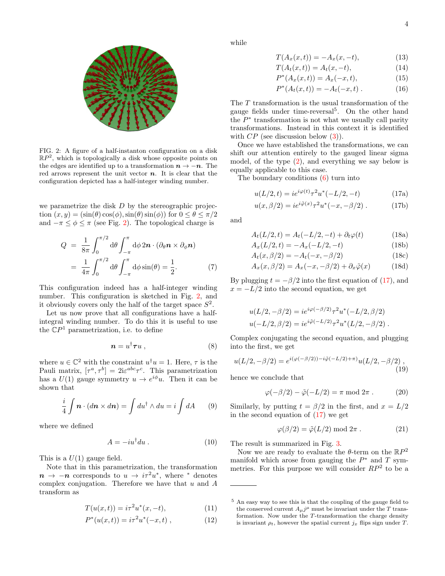



<span id="page-4-0"></span>FIG. 2: A figure of a half-instanton configuration on a disk  $\mathbb{R}P^2$ , which is topologically a disk whose opposite points on the edges are identified up to a transformation  $n \to -n$ . The red arrows represent the unit vector  $n$ . It is clear that the configuration depicted has a half-integer winding number.

we parametrize the disk  $D$  by the stereographic projection  $(x, y) = (\sin(\theta) \cos(\phi), \sin(\theta) \sin(\phi))$  for  $0 \le \theta \le \pi/2$ and  $-\pi \leq \phi \leq \pi$  (see Fig. [2\)](#page-4-0). The topological charge is

$$
Q = \frac{1}{8\pi} \int_0^{\pi/2} d\theta \int_{-\pi}^{\pi} d\phi \, 2\mathbf{n} \cdot (\partial_\theta \mathbf{n} \times \partial_\phi \mathbf{n})
$$
  
= 
$$
\frac{1}{4\pi} \int_0^{\pi/2} d\theta \int_{-\pi}^{\pi} d\phi \sin(\theta) = \frac{1}{2}.
$$
 (7)

This configuration indeed has a half-integer winding number. This configuration is sketched in Fig. [2,](#page-4-0) and it obviously covers only the half of the target space  $S^2$ .

Let us now prove that all configurations have a halfintegral winding number. To do this it is useful to use the  $\mathbb{C}P^1$  parametrization, i.e. to define

$$
n = u^{\dagger} \tau u \; , \tag{8}
$$

where  $u \in \mathbb{C}^2$  with the constraint  $u^{\dagger}u = 1$ . Here,  $\tau$  is the Pauli matrix,  $[\tau^a, \tau^b] = 2i\varepsilon^{abc}\tau^c$ . This parametrization has a  $U(1)$  gauge symmetry  $u \to e^{i\phi}u$ . Then it can be shown that

$$
\frac{i}{4}\int \mathbf{n} \cdot (d\mathbf{n} \times d\mathbf{n}) = \int du^{\dagger} \wedge du = i \int dA \qquad (9)
$$

where we defined

$$
A = -iu^{\dagger} du. \tag{10}
$$

This is a  $U(1)$  gauge field.

Note that in this parametrization, the transformation  $n \to -n$  corresponds to  $u \to i\tau^2 u^*$ , where \* denotes complex conjugation. Therefore we have that  $u$  and  $A$ transform as

$$
T(u(x,t)) = i\tau^2 u^*(x, -t),
$$
\n(11)

$$
P^*(u(x,t)) = i\tau^2 u^*(-x,t) , \qquad (12)
$$

while

$$
T(A_x(x,t)) = -A_x(x,-t),
$$
\n(13)

$$
T(A_t(x,t)) = A_t(x, -t),
$$
\n(14)

$$
P^*(A_x(x,t)) = A_x(-x,t),
$$
\n(15)

$$
P^*(A_t(x,t)) = -A_t(-x,t) . \tag{16}
$$

The T transformation is the usual transformation of the gauge fields under time-reversal<sup>5</sup> . On the other hand the  $P^*$  transformation is not what we usually call parity transformations. Instead in this context it is identified with  $CP$  (see discussion below  $(3)$ ).

Once we have established the transformations, we can shift our attention entirely to the gauged linear sigma model, of the type [\(2\)](#page-2-3), and everything we say below is equally applicable to this case.

The boundary conditions [\(6\)](#page-3-2) turn into

<span id="page-4-1"></span>
$$
u(L/2, t) = ie^{i\varphi(t)}\tau^2 u^*(-L/2, -t)
$$
\n(17a)

$$
u(x, \beta/2) = ie^{i\tilde{\varphi}(x)}\tau^2 u^*(-x, -\beta/2) . \tag{17b}
$$

and

$$
A_t(L/2, t) = A_t(-L/2, -t) + \partial_t \varphi(t)
$$
 (18a)

$$
A_x(L/2, t) = -A_x(-L/2, -t)
$$
\n(18b)

$$
A_t(x, \beta/2) = -A_t(-x, -\beta/2)
$$
 (18c)

$$
A_x(x, \beta/2) = A_x(-x, -\beta/2) + \partial_x \tilde{\varphi}(x) \tag{18d}
$$

By plugging  $t = -\beta/2$  into the first equation of [\(17\)](#page-4-1), and  $x = -L/2$  into the second equation, we get

$$
u(L/2, -\beta/2) = ie^{i\varphi(-\beta/2)}\tau^2 u^*(-L/2, \beta/2)
$$
  

$$
u(-L/2, \beta/2) = ie^{i\tilde{\varphi}(-L/2)}\tau^2 u^*(L/2, -\beta/2).
$$

Complex conjugating the second equation, and plugging into the first, we get

$$
u(L/2, -\beta/2) = e^{i(\varphi(-\beta/2)) - i\tilde{\varphi}(-L/2) + \pi)} u(L/2, -\beta/2) ,
$$
\n(19)

hence we conclude that

$$
\varphi(-\beta/2) - \tilde{\varphi}(-L/2) = \pi \mod 2\pi . \tag{20}
$$

Similarly, by putting  $t = \frac{\beta}{2}$  in the first, and  $x = L/2$ in the second equation of  $(17)$  we get

$$
\varphi(\beta/2) = \tilde{\varphi}(L/2) \text{ mod } 2\pi . \tag{21}
$$

The result is summarized in Fig. [3.](#page-5-0)

Now we are ready to evaluate the  $\theta$ -term on the  $\mathbb{R}P^2$ manifold which arose from gauging the  $P^*$  and T symmetries. For this purpose we will consider  $RP^2$  to be a

<sup>5</sup> An easy way to see this is that the coupling of the gauge field to the conserved current  $A_{\mu}j^{\mu}$  must be invariant under the T transformation. Now under the T-transformation the charge density is invariant  $\rho_t$ , however the spatial current  $j_x$  flips sign under T.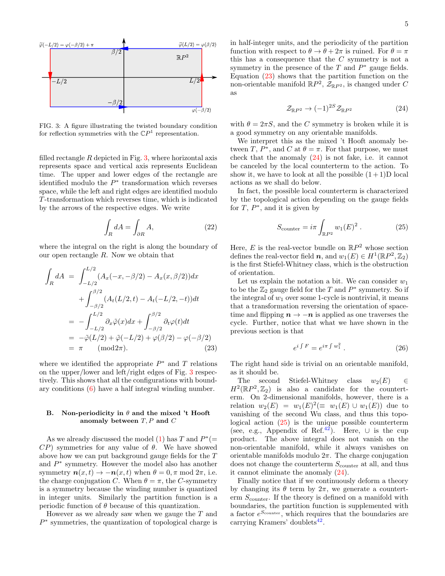

<span id="page-5-0"></span>FIG. 3: A figure illustrating the twisted boundary condition for reflection symmetries with the  $\mathbb{C}P<sup>1</sup>$  representation.

filled rectangle  $R$  depicted in Fig. [3,](#page-5-0) where horizontal axis represents space and vertical axis represents Euclidean time. The upper and lower edges of the rectangle are identified modulo the  $P^*$  transformation which reverses space, while the left and right edges are identified modulo T-transformation which reverses time, which is indicated by the arrows of the respective edges. We write

$$
\int_{R} dA = \int_{\partial R} A,\tag{22}
$$

where the integral on the right is along the boundary of our open rectangle R. Now we obtain that

<span id="page-5-1"></span>
$$
\int_{R} dA = \int_{-L/2}^{L/2} (A_x(-x, -\beta/2) - A_x(x, \beta/2)) dx
$$

$$
+ \int_{-\beta/2}^{\beta/2} (A_t(L/2, t) - A_t(-L/2, -t)) dt
$$

$$
= - \int_{-L/2}^{L/2} \partial_x \tilde{\varphi}(x) dx + \int_{-\beta/2}^{\beta/2} \partial_t \varphi(t) dt
$$

$$
= -\tilde{\varphi}(L/2) + \tilde{\varphi}(-L/2) + \varphi(\beta/2) - \varphi(-\beta/2)
$$

$$
= \pi \quad (\text{mod} 2\pi).
$$
 (23)

where we identified the appropriate  $P^*$  and T relations on the upper/lower and left/right edges of Fig. [3](#page-5-0) respectively. This shows that all the configurations with boundary conditions [\(6\)](#page-3-2) have a half integral winding number.

# B. Non-periodicity in  $\theta$  and the mixed 't Hooft anomaly between  $T, P$  and  $C$

As we already discussed the model [\(1\)](#page-2-1) has T and  $P^*$  (=  $\mathcal{CP}$ ) symmetries for any value of  $\theta$ . We have showed above how we can put background gauge fields for the T and  $P^*$  symmetry. However the model also has another symmetry  $n(x,t) \to -n(x,t)$  when  $\theta = 0, \pi \text{ mod } 2\pi$ , i.e. the charge conjugation C. When  $\theta = \pi$ , the C-symmetry is a symmetry because the winding number is quantized in integer units. Similarly the partition function is a periodic function of  $\theta$  because of this quantization.

However as we already saw when we gauge the T and P ∗ symmetries, the quantization of topological charge is

in half-integer units, and the periodicity of the partition function with respect to  $\theta \to \theta + 2\pi$  is ruined. For  $\theta = \pi$ this has a consequence that the C symmetry is not a symmetry in the presence of the  $T$  and  $P^*$  gauge fields. Equation [\(23\)](#page-5-1) shows that the partition function on the non-orientable manifold  $\mathbb{R}P^2$ ,  $\mathcal{Z}_{\mathbb{R}P^2}$ , is changed under C as

<span id="page-5-2"></span>
$$
\mathcal{Z}_{\mathbb{R}P^2} \to (-1)^{2S} \mathcal{Z}_{\mathbb{R}P^2} \tag{24}
$$

with  $\theta = 2\pi S$ , and the C symmetry is broken while it is a good symmetry on any orientable manifolds.

We interpret this as the mixed 't Hooft anomaly between T,  $P^*$ , and C at  $\theta = \pi$ . For that purpose, we must check that the anomaly [\(24\)](#page-5-2) is not fake, i.e. it cannot be canceled by the local counterterm to the action. To show it, we have to look at all the possible  $(1+1)$ D local actions as we shall do below.

In fact, the possible local counterterm is characterized by the topological action depending on the gauge fields for  $T, P^*$ , and it is given by

<span id="page-5-3"></span>
$$
S_{\text{counter}} = i\pi \int_{\mathbb{R}P^2} w_1(E)^2.
$$
 (25)

Here, E is the real-vector bundle on  $\mathbb{R}P^2$  whose section defines the real-vector field  $n$ , and  $w_1(E) \in H^1(\mathbb{R}P^2, \mathbb{Z}_2)$ is the first Stiefel-Whitney class, which is the obstruction of orientation.

Let us explain the notation a bit. We can consider  $w_1$ to be the  $\mathbb{Z}_2$  gauge field for the T and  $P^*$  symmetry. So if the integral of  $w_1$  over some 1-cycle is nontrivial, it means that a transformation reversing the orientation of spacetime and flipping  $n \to -n$  is applied as one traverses the cycle. Further, notice that what we have shown in the previous section is that

$$
e^{i\int F} = e^{i\pi \int w_1^2} . \tag{26}
$$

The right hand side is trivial on an orientable manifold, as it should be.

The second Stiefel-Whitney class  $w_2(E) \in$  $H^2(\mathbb{R}P^2, \mathbb{Z}_2)$  is also a candidate for the counterterm. On 2-dimensional manifolds, however, there is a relation  $w_2(E) = w_1(E)^2 (\equiv w_1(E) \cup w_1(E))$  due to vanishing of the second Wu class, and thus this topological action [\(25\)](#page-5-3) is the unique possible counterterm (see, e.g., Appendix of Ref.<sup>[42](#page-14-0)</sup>). Here,  $\cup$  is the cup product. The above integral does not vanish on the non-orientable manifold, while it always vanishes on orientable manifolds modulo  $2\pi$ . The charge conjugation does not change the counterterm  $S_{\text{counter}}$  at all, and thus it cannot eliminate the anomaly [\(24\)](#page-5-2).

Finally notice that if we continuously deform a theory by changing its  $\theta$  term by  $2\pi$ , we generate a counterterm  $S_{\text{counter}}$ . If the theory is defined on a manifold with boundaries, the partition function is supplemented with a factor  $e^{S_{\text{counter}}}$ , which requires that the boundaries are carrying Kramers' doublets<sup>[42](#page-14-0)</sup>.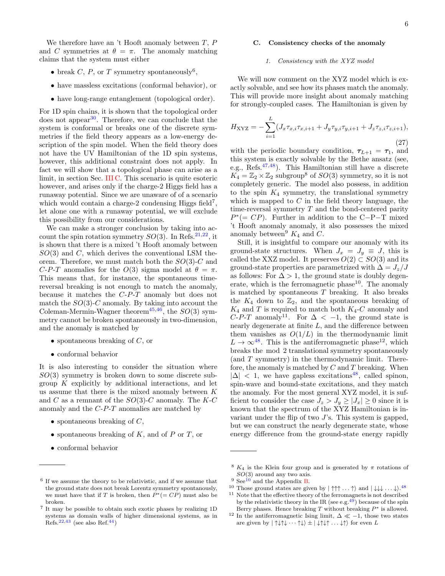We therefore have an 't Hooft anomaly between  $T, P$ and C symmetries at  $\theta = \pi$ . The anomaly matching claims that the system must either

- break C, P, or T symmetry spontaneously<sup>6</sup>,
- have massless excitations (conformal behavior), or
- have long-range entanglement (topological order).

For 1D spin chains, it is shown that the topological order does not appear<sup>[30](#page-13-13)</sup>. Therefore, we can conclude that the system is conformal or breaks one of the discrete symmetries if the field theory appears as a low-energy description of the spin model. When the field theory does not have the UV Hamiltonian of the 1D spin systems, however, this additional constraint does not apply. In fact we will show that a topological phase can arise as a limit, in section Sec. [III C.](#page-6-0) This scenario is quite esoteric however, and arises only if the charge-2 Higgs field has a runaway potential. Since we are unaware of of a scenario which would contain a charge-2 condensing Higgs field<sup>7</sup>, let alone one with a runaway potential, we will exclude this possibility from our considerations.

We can make a stronger conclusion by taking into account the spin rotation symmetry  $SO(3)$ . In Refs.<sup>[21](#page-13-19)[,22](#page-13-9)</sup>, it is shown that there is a mixed 't Hooft anomaly between  $SO(3)$  and C, which derives the conventional LSM theorem. Therefore, we must match both the  $SO(3)$ -C and C-P-T anomalies for the  $O(3)$  sigma model at  $\theta = \pi$ . This means that, for instance, the spontaneous timereversal breaking is not enough to match the anomaly, because it matches the C-P-T anomaly but does not match the  $SO(3)$ -C anomaly. By taking into account the Coleman-Mermin-Wagner theorem<sup>[45](#page-14-1)[,46](#page-14-2)</sup>, the  $SO(3)$  symmetry cannot be broken spontaneously in two-dimension, and the anomaly is matched by

- spontaneous breaking of  $C$ , or
- conformal behavior

It is also interesting to consider the situation where  $SO(3)$  symmetry is broken down to some discrete subgroup  $K$  explicitly by additional interactions, and let us assume that there is the mixed anomaly between  $K$ and C as a remnant of the  $SO(3)$ -C anomaly. The K-C anomaly and the C-P-T anomalies are matched by

- spontaneous breaking of  $C$ ,
- spontaneous breaking of  $K$ , and of  $P$  or  $T$ , or
- conformal behavior

#### <span id="page-6-0"></span>C. Consistency checks of the anomaly

#### 1. Consistency with the XYZ model

We will now comment on the XYZ model which is exactly solvable, and see how its phases match the anomaly. This will provide more insight about anomaly matching for strongly-coupled cases. The Hamiltonian is given by

$$
H_{\text{XYZ}} = -\sum_{i=1}^{L} (J_x \tau_{x,i} \tau_{x,i+1} + J_y \tau_{y,i} \tau_{y,i+1} + J_z \tau_{z,i} \tau_{z,i+1}),
$$
\n(27)

with the periodic boundary condition,  $\tau_{L+1} = \tau_1$ , and this system is exactly solvable by the Bethe ansatz (see, e.g., Refs.[47,](#page-14-5)[48](#page-14-6)). This Hamiltonian still have a discrete  $K_4 = \mathbb{Z}_2 \times \mathbb{Z}_2$  subgroup<sup>8</sup> of  $SO(3)$  symmetry, so it is not completely generic. The model also possess, in addition to the spin  $K_4$  symmetry, the translational symmetry which is mapped to  $C$  in the field theory language, the time-reversal symmetry T and the bond-centered parity  $P^*(= CP)$ . Further in addition to the C-P-T mixed 't Hooft anomaly anomaly, it also possesses the mixed anomaly between<sup>9</sup>  $K_4$  and C.

Still, it is insightful to compare our anomaly with its ground-state structures. When  $J_x = J_y \equiv J$ , this is called the XXZ model. It preserves  $O(2) \subset SO(3)$  and its ground-state properties are parametrized with  $\Delta = J_z/J$ as follows: For  $\Delta > 1$ , the ground state is doubly degenerate, which is the ferromagnetic phase $10$ . The anomaly is matched by spontaneous  $T$  breaking. It also breaks the  $K_4$  down to  $\mathbb{Z}_2$ , and the spontaneous breaking of  $K_4$  and T is required to match both  $K_4$ -C anomaly and  $C-P-T$  anomaly<sup>11</sup>. For  $\Delta < -1$ , the ground state is nearly degenerate at finite  $L$ , and the difference between them vanishes as  $O(1/L)$  in the thermodynamic limit  $L \to \infty^{48}$  $L \to \infty^{48}$  $L \to \infty^{48}$ . This is the antiferromagnetic phase<sup>12</sup>, which breaks the mod 2 translational symmetry spontaneously (and T symmetry) in the thermodynamic limit. Therefore, the anomaly is matched by  $C$  and  $T$  breaking. When  $|\Delta|$  < 1, we have gapless excitations<sup>[48](#page-14-6)</sup>, called spinon, spin-wave and bound-state excitations, and they match the anomaly. For the most general XYZ model, it is sufficient to consider the case  $J_z > J_y \geq |J_x| \geq 0$  since it is known that the spectrum of the XYZ Hamiltonian is invariant under the flip of two  $J$ 's. This system is gapped, but we can construct the nearly degenerate state, whose energy difference from the ground-state energy rapidly

<sup>6</sup> If we assume the theory to be relativistic, and if we assume that the ground state does not break Lorentz symmetry spontanously, we must have that if T is broken, then  $P^*(= CP)$  must also be broken.

<sup>7</sup> It may be possible to obtain such exotic phases by realizing 1D systems as domain walls of higher dimensional systems, as in  $Refs.<sup>22,43</sup>$  $Refs.<sup>22,43</sup>$  $Refs.<sup>22,43</sup>$  $Refs.<sup>22,43</sup>$  (see also Ref.<sup>[44](#page-14-4)</sup>)

<sup>&</sup>lt;sup>8</sup>  $K_4$  is the Klein four group and is generated by  $\pi$  rotations of  $SO(3)$  around any two axis.

 $9$  See<sup>[10](#page-13-2)</sup> and the Appendix [B.](#page-10-0)

<sup>&</sup>lt;sup>10</sup> Those ground states are given by  $|\uparrow \uparrow \uparrow ... \uparrow \rangle$  and  $|\downarrow \downarrow \downarrow ... \downarrow \rangle$ .<sup>[48](#page-14-6)</sup>

<sup>&</sup>lt;sup>11</sup> Note that the effective theory of the ferromagnets is not described by the relativistic theory in the IR (see e.g.<sup>[49](#page-14-7)</sup>) because of the spin Berry phases. Hence breaking  $T$  without breaking  $P^*$  is allowed.

<sup>&</sup>lt;sup>12</sup> In the antiferromagnetic Ising limit,  $\Delta \ll -1$ , those two states are given by  $|\uparrow \downarrow \uparrow \downarrow \cdots \uparrow \downarrow \rangle \pm |\downarrow \uparrow \downarrow \uparrow \ldots \downarrow \uparrow \rangle$  for even L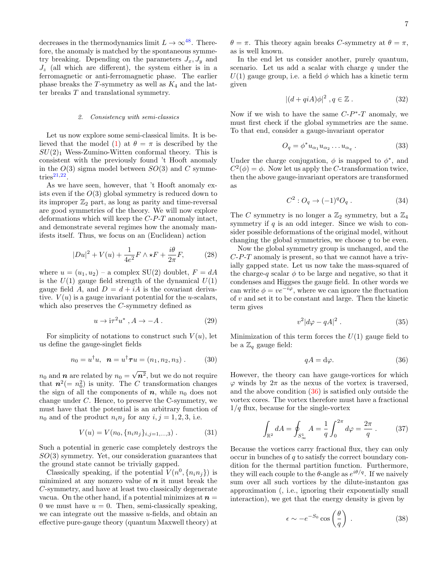decreases in the thermodynamics limit  $L \to \infty^{48}$  $L \to \infty^{48}$  $L \to \infty^{48}$ . Therefore, the anomaly is matched by the spontaneous symmetry breaking. Depending on the parameters  $J_x, J_y$  and  $J_z$  (all which are different), the system either is in a ferromagnetic or anti-ferromagnetic phase. The earlier phase breaks the T-symmetry as well as  $K_4$  and the latter breaks T and translational symmetry.

#### 2. Consistency with semi-classics

Let us now explore some semi-classical limits. It is be-lieved that the model [\(1\)](#page-2-1) at  $\theta = \pi$  is described by the  $SU(2)_1$  Wess-Zumino-Witten conformal theory. This is consistent with the previously found 't Hooft anomaly in the  $O(3)$  sigma model between  $SO(3)$  and C symme- $\text{tries}^{21,22}$  $\text{tries}^{21,22}$  $\text{tries}^{21,22}$  $\text{tries}^{21,22}$ .

As we have seen, however, that 't Hooft anomaly exists even if the  $O(3)$  global symmetry is reduced down to its improper  $\mathbb{Z}_2$  part, as long as parity and time-reversal are good symmetries of the theory. We will now explore deformations which will keep the C-P-T anomaly intact, and demonstrate several regimes how the anomaly manifests itself. Thus, we focus on an (Euclidean) action

$$
|Du|^2 + V(u) + \frac{1}{4e^2}F \wedge \star F + \frac{i\theta}{2\pi}F,\tag{28}
$$

where  $u = (u_1, u_2)$  – a complex SU(2) doublet,  $F = dA$ is the  $U(1)$  gauge field strength of the dynamical  $U(1)$ gauge field A, and  $D = d + iA$  is the covariant derivative.  $V(u)$  is a gauge invariant potential for the u-scalars, which also preserves the C-symmetry defined as

$$
u \to i\tau^2 u^*, A \to -A. \tag{29}
$$

For simplicity of notations to construct such  $V(u)$ , let us define the gauge-singlet fields

$$
n_0 = u^{\dagger} u, \ \ \mathbf{n} = u^{\dagger} \boldsymbol{\tau} u = (n_1, n_2, n_3) . \tag{30}
$$

 $n_0$  and **n** are related by  $n_0 =$ √  $n^2$ , but we do not require that  $n^2 (= n_0^2)$  is unity. The C transformation changes the sign of all the components of  $n$ , while  $n_0$  does not change under C. Hence, to preserve the C-symmetry, we must have that the potential is an arbitrary function of  $n_0$  and of the product  $n_i n_j$  for any  $i, j = 1, 2, 3$ , i.e.

$$
V(u) = V(n_0, \{n_i n_j\}_{i,j=1,\dots,3}) . \tag{31}
$$

Such a potential in generic case completely destroys the  $SO(3)$  symmetry. Yet, our consideration guarantees that the ground state cannot be trivially gapped.

Classically speaking, if the potential  $V(n^0, \{n_i n_j\})$  is minimized at any nonzero value of  $n$  it must break the C-symmetry, and have at least two classically degenerate vacua. On the other hand, if a potential minimizes at  $n =$ 0 we must have  $u = 0$ . Then, semi-classically speaking, we can integrate out the massive u-fields, and obtain an effective pure-gauge theory (quantum Maxwell theory) at  $\theta = \pi$ . This theory again breaks C-symmetry at  $\theta = \pi$ , as is well known.

In the end let us consider another, purely quantum, scenario. Let us add a scalar with charge  $q$  under the  $U(1)$  gauge group, i.e. a field  $\phi$  which has a kinetic term given

$$
|(d+qiA)\phi|^2, q \in \mathbb{Z} . \tag{32}
$$

Now if we wish to have the same  $C-P^*$ -T anomaly, we must first check if the global symmetries are the same. To that end, consider a gauge-invariant operator

$$
O_q = \phi^* u_{\alpha_1} u_{\alpha_2} \dots u_{\alpha_q} . \tag{33}
$$

Under the charge conjugation,  $\phi$  is mapped to  $\phi^*$ , and  $C^2(\phi) = \phi$ . Now let us apply the C-transformation twice, then the above gauge-invariant operators are transformed as

$$
C^2: O_q \to (-1)^q O_q . \tag{34}
$$

The C symmetry is no longer a  $\mathbb{Z}_2$  symmetry, but a  $\mathbb{Z}_4$ symmetry if  $q$  is an odd integer. Since we wish to consider possible deformations of the original model, without changing the global symmetries, we choose  $q$  to be even.

Now the global symmetry group is unchanged, and the  $C-P-T$  anomaly is present, so that we cannot have a trivially gapped state. Let us now take the mass-squared of the charge-q scalar  $\phi$  to be large and negative, so that it condenses and Higgses the gauge field. In other words we can write  $\phi = v e^{-i\varphi}$ , where we can ignore the fluctuation of v and set it to be constant and large. Then the kinetic term gives

$$
v^2|d\varphi - qA|^2. \tag{35}
$$

Minimization of this term forces the  $U(1)$  gauge field to be a  $\mathbb{Z}_q$  gauge field:

<span id="page-7-0"></span>
$$
qA = \mathrm{d}\varphi. \tag{36}
$$

However, the theory can have gauge-vortices for which  $\varphi$  winds by  $2\pi$  as the nexus of the vortex is traversed, and the above condition [\(36\)](#page-7-0) is satisfied only outside the vortex cores. The vortex therefore must have a fractional  $1/q$  flux, because for the single-vortex

$$
\int_{\mathbb{R}^2} dA = \oint_{S^1_{\infty}} A = \frac{1}{q} \int_0^{2\pi} d\varphi = \frac{2\pi}{q} . \tag{37}
$$

Because the vortices carry fractional flux, they can only occur in bunches of q to satisfy the correct boundary condition for the thermal partition function. Furthermore, they will each couple to the  $\theta$ -angle as  $e^{i\theta/q}$ . If we naively sum over all such vortices by the dilute-instanton gas approximation (, i.e., ignoring their exponentially small interaction), we get that the energy density is given by

$$
\epsilon \sim -e^{-S_0} \cos\left(\frac{\theta}{q}\right) \,. \tag{38}
$$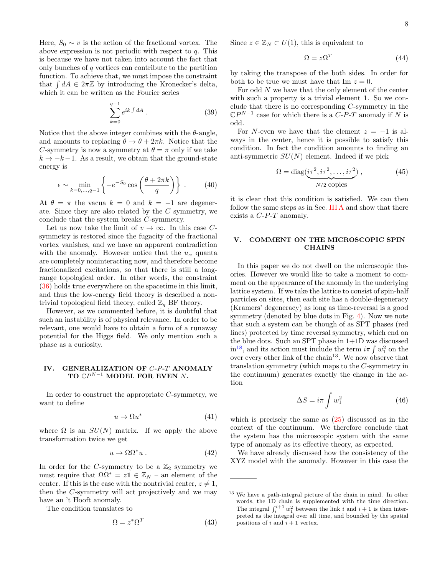Here,  $S_0 \sim v$  is the action of the fractional vortex. The above expression is not periodic with respect to  $q$ . This is because we have not taken into account the fact that only bunches of q vortices can contribute to the partition function. To achieve that, we must impose the constraint that  $\int dA \in 2\pi\mathbb{Z}$  by introducing the Kronecker's delta, which it can be written as the Fourier series

$$
\sum_{k=0}^{q-1} e^{ik \int dA} . \tag{39}
$$

Notice that the above integer combines with the  $\theta$ -angle, and amounts to replacing  $\theta \to \theta + 2\pi k$ . Notice that the C-symmetry is now a symmetry at  $\theta = \pi$  only if we take  $k \rightarrow -k-1$ . As a result, we obtain that the ground-state energy is

$$
\epsilon \sim \min_{k=0,\dots,q-1} \left\{ -e^{-S_0} \cos\left(\frac{\theta + 2\pi k}{q}\right) \right\} \,. \tag{40}
$$

At  $\theta = \pi$  the vacua  $k = 0$  and  $k = -1$  are degenerate. Since they are also related by the C symmetry, we conclude that the system breaks C-symmetry.

Let us now take the limit of  $v \to \infty$ . In this case Csymmetry is restored since the fugacity of the fractional vortex vanishes, and we have an apparent contradiction with the anomaly. However notice that the  $u_{\alpha}$  quanta are completely noninteracting now, and therefore become fractionalized excitations, so that there is still a longrange topological order. In other words, the constraint [\(36\)](#page-7-0) holds true everywhere on the spacetime in this limit, and thus the low-energy field theory is described a nontrivial topological field theory, called  $\mathbb{Z}_q$  BF theory.

However, as we commented before, it is doubtful that such an instability is of physical relevance. In order to be relevant, one would have to obtain a form of a runaway potential for the Higgs field. We only mention such a phase as a curiosity.

# <span id="page-8-0"></span>IV. GENERALIZATION OF C-P-T ANOMALY TO  $\mathbb{C}P^{N-1}$  MODEL FOR EVEN N.

In order to construct the appropriate  $C$ -symmetry, we want to define

$$
u \to \Omega u^* \tag{41}
$$

where  $\Omega$  is an  $SU(N)$  matrix. If we apply the above transformation twice we get

$$
u \to \Omega \Omega^* u \,. \tag{42}
$$

In order for the C-symmetry to be a  $\mathbb{Z}_2$  symmetry we must require that  $\Omega \Omega^* = z \mathbf{1} \in \mathbb{Z}_N$  – an element of the center. If this is the case with the nontrivial center,  $z \neq 1$ , then the C-symmetry will act projectively and we may have an 't Hooft anomaly.

The condition translates to

$$
\Omega = z^* \Omega^T \tag{43}
$$

Since  $z \in \mathbb{Z}_N \subset U(1)$ , this is equivalent to

$$
\Omega = z\Omega^T \tag{44}
$$

by taking the transpose of the both sides. In order for both to be true we must have that Im  $z = 0$ .

For odd N we have that the only element of the center with such a property is a trivial element 1. So we conclude that there is no corresponding C-symmetry in the  $\mathbb{C}P^{N-1}$  case for which there is a  $C$ - $P$ - $T$  anomaly if N is odd.

For N-even we have that the element  $z = -1$  is always in the center, hence it is possible to satisfy this condition. In fact the condition amounts to finding an anti-symmetric  $SU(N)$  element. Indeed if we pick

$$
\Omega = \text{diag}(\underbrace{i\tau^2, i\tau^2, \dots, i\tau^2}_{N/2 \text{ copies}}),\tag{45}
$$

it is clear that this condition is satisfied. We can then follow the same steps as in Sec. [III A](#page-3-3) and show that there exists a C-P-T anomaly.

# <span id="page-8-1"></span>COMMENT ON THE MICROSCOPIC SPIN **CHAINS**

In this paper we do not dwell on the microscopic theories. However we would like to take a moment to comment on the appearance of the anomaly in the underlying lattice system. If we take the lattice to consist of spin-half particles on sites, then each site has a double-degeneracy (Kramers' degeneracy) as long as time-reversal is a good symmetry (denoted by blue dots in Fig. [4\)](#page-9-2). Now we note that such a system can be though of as SPT phases (red lines) protected by time reversal symmetry, which end on the blue dots. Such an SPT phase in 1+1D was discussed  $\sin^{18}$  $\sin^{18}$  $\sin^{18}$ , and its action must include the term  $i\pi \int w_1^2$  on the over every other link of the chain<sup>13</sup>. We now observe that translation symmetry (which maps to the C-symmetry in the continuum) generates exactly the change in the action

$$
\Delta S = i\pi \int w_1^2 \tag{46}
$$

which is precisely the same as [\(25\)](#page-5-3) discussed as in the context of the continuum. We therefore conclude that the system has the microscopic system with the same type of anomaly as its effective theory, as expected.

We have already discussed how the consistency of the XYZ model with the anomaly. However in this case the

<sup>13</sup> We have a path-integral picture of the chain in mind. In other words, the 1D chain is supplemented with the time direction. The integral  $\int_{i}^{i+1} w_1^2$  between the link i and  $i+1$  is then interpreted as the integral over all time, and bounded by the spatial positions of i and  $i + 1$  vertex.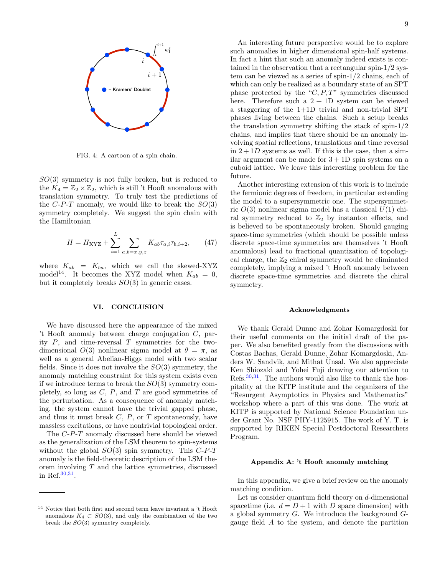

<span id="page-9-2"></span>FIG. 4: A cartoon of a spin chain.

 $SO(3)$  symmetry is not fully broken, but is reduced to the  $K_4 = \mathbb{Z}_2 \times \mathbb{Z}_2$ , which is still 't Hooft anomalous with translation symmetry. To truly test the predictions of the  $C-P-T$  anomaly, we would like to break the  $SO(3)$ symmetry completely. We suggest the spin chain with the Hamiltonian

$$
H = H_{\rm XYZ} + \sum_{i=1}^{L} \sum_{a,b=x,y,z} K_{ab} \tau_{a,i} \tau_{b,i+2}, \qquad (47)
$$

where  $K_{ab} = K_{ba}$ , which we call the skewed-XYZ model<sup>14</sup>. It becomes the XYZ model when  $K_{ab} = 0$ , but it completely breaks  $SO(3)$  in generic cases.

#### <span id="page-9-1"></span>VI. CONCLUSION

We have discussed here the appearance of the mixed 't Hooft anomaly between charge conjugation C, parity  $P$ , and time-reversal  $T$  symmetries for the twodimensional  $O(3)$  nonlinear sigma model at  $\theta = \pi$ , as well as a general Abelian-Higgs model with two scalar fields. Since it does not involve the  $SO(3)$  symmetry, the anomaly matching constraint for this system exists even if we introduce terms to break the  $SO(3)$  symmetry completely, so long as  $C, P$ , and  $T$  are good symmetries of the perturbation. As a consequence of anomaly matching, the system cannot have the trivial gapped phase, and thus it must break  $C, P$ , or  $T$  spontaneously, have massless excitations, or have nontrivial topological order.

The C-P-T anomaly discussed here should be viewed as the generalization of the LSM theorem to spin-systems without the global  $SO(3)$  spin symmetry. This  $C-P-T$ anomaly is the field-theoretic description of the LSM theorem involving  $T$  and the lattice symmetries, discussed in Ref.[30](#page-13-13)[,31](#page-13-14) .

An interesting future perspective would be to explore such anomalies in higher dimensional spin-half systems. In fact a hint that such an anomaly indeed exists is contained in the observation that a rectangular spin-1/2 system can be viewed as a series of spin-1/2 chains, each of which can only be realized as a boundary state of an SPT phase protected by the " $C, P, T$ " symmetries discussed here. Therefore such a  $2 + 1D$  system can be viewed a staggering of the 1+1D trivial and non-trivial SPT phases living between the chains. Such a setup breaks the translation symmetry shifting the stack of spin-1/2 chains, and implies that there should be an anomaly involving spatial reflections, translations and time reversal in  $2+1D$  systems as well. If this is the case, then a similar argument can be made for  $3 + 1D$  spin systems on a cuboid lattice. We leave this interesting problem for the future.

Another interesting extension of this work is to include the fermionic degrees of freedom, in particular extending the model to a supersymmetric one. The supersymmetric  $O(3)$  nonlinear sigma model has a classical  $U(1)$  chiral symmetry reduced to  $\mathbb{Z}_2$  by instanton effects, and is believed to be spontaneously broken. Should gauging space-time symmetries (which should be possible unless discrete space-time symmetries are themselves 't Hooft anomalous) lead to fractional quantization of topological charge, the  $\mathbb{Z}_2$  chiral symmetry would be eliminated completely, implying a mixed 't Hooft anomaly between discrete space-time symmetries and discrete the chiral symmetry.

#### Acknowledgments

We thank Gerald Dunne and Zohar Komargdoski for their useful comments on the initial draft of the paper. We also benefited greatly from the discussions with Costas Bachas, Gerald Dunne, Zohar Komargdoski, Anders W. Sandvik, and Mithat Unsal. We also appreciate Ken Shiozaki and Yohei Fuji drawing our attention to Refs.[30](#page-13-13)[,31](#page-13-14). The authors would also like to thank the hospitality at the KITP institute and the organizers of the "Resurgent Asymptotics in Physics and Mathematics" workshop where a part of this was done. The work at KITP is supported by National Science Foundation under Grant No. NSF PHY-1125915. The work of Y. T. is supported by RIKEN Special Postdoctoral Researchers Program.

#### <span id="page-9-0"></span>Appendix A: 't Hooft anomaly matching

In this appendix, we give a brief review on the anomaly matching condition.

Let us consider quantum field theory on d-dimensional spacetime (i.e.  $d = D + 1$  with D space dimension) with a global symmetry G. We introduce the background Ggauge field A to the system, and denote the partition

<sup>14</sup> Notice that both first and second term leave invariant a 't Hooft anomalous  $K_4 \subset SO(3)$ , and only the combination of the two break the SO(3) symmetry completely.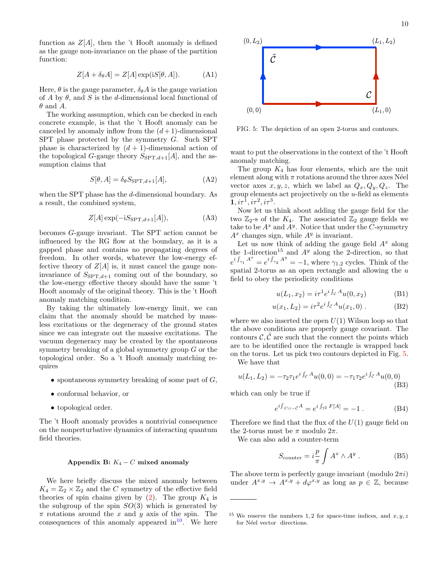function as  $Z[A]$ , then the 't Hooft anomaly is defined as the gauge non-invariance on the phase of the partition function:

$$
Z[A + \delta_{\theta} A] = Z[A] \exp(iS[\theta, A]). \tag{A1}
$$

Here,  $\theta$  is the gauge parameter,  $\delta_{\theta}A$  is the gauge variation of A by  $\theta$ , and S is the d-dimensional local functional of  $\theta$  and A.

The working assumption, which can be checked in each concrete example, is that the 't Hooft anomaly can be canceled by anomaly inflow from the  $(d+1)$ -dimensional SPT phase protected by the symmetry G. Such SPT phase is characterized by  $(d + 1)$ -dimensional action of the topological G-gauge theory  $S_{\text{SPT},d+1}[A]$ , and the assumption claims that

$$
S[\theta, A] = \delta_{\theta} S_{\text{SPT}, d+1}[A], \tag{A2}
$$

when the SPT phase has the  $d$ -dimensional boundary. As a result, the combined system,

$$
Z[A] \exp(-iS_{\text{SPT},d+1}[A]), \tag{A3}
$$

becomes G-gauge invariant. The SPT action cannot be influenced by the RG flow at the boundary, as it is a gapped phase and contains no propagating degrees of freedom. In other words, whatever the low-energy effective theory of  $Z[A]$  is, it must cancel the gauge noninvariance of  $S_{\text{SPT},d+1}$  coming out of the boundary, so the low-energy effective theory should have the same 't Hooft anomaly of the original theory. This is the 't Hooft anomaly matching condition.

By taking the ultimately low-energy limit, we can claim that the anomaly should be matched by massless excitations or the degeneracy of the ground states since we can integrate out the massive excitations. The vacuum degeneracy may be created by the spontaneous symmetry breaking of a global symmetry group G or the topological order. So a 't Hooft anomaly matching requires

- spontaneous symmetry breaking of some part of  $G$ ,
- conformal behavior, or
- topological order.

The 't Hooft anomaly provides a nontrivial consequence on the nonperturbative dynamics of interacting quantum field theories.

#### <span id="page-10-0"></span>Appendix B:  $K_4 - C$  mixed anomaly

We here briefly discuss the mixed anomaly between  $K_4 = \mathbb{Z}_2 \times \mathbb{Z}_2$  and the C symmetry of the effective field theories of spin chains given by  $(2)$ . The group  $K_4$  is the subgroup of the spin  $SO(3)$  which is generated by  $\pi$  rotations around the x and y axis of the spin. The consequences of this anomaly appeared in  $10^{\circ}$  $10^{\circ}$ . We here



<span id="page-10-1"></span>FIG. 5: The depiction of an open 2-torus and contours.

want to put the observations in the context of the 't Hooft anomaly matching.

The group  $K_4$  has four elements, which are the unit element along with  $\pi$  rotations around the three axes Néel vector axes  $x, y, z$ , which we label as  $Q_x, Q_y, Q_z$ . The group elements act projectively on the u-field as elements  $1, i\tau^1, i\tau^2, i\tau^3.$ 

Now let us think about adding the gauge field for the two  $\mathbb{Z}_2$ -s of the  $K_4$ . The associated  $\mathbb{Z}_2$  gauge fields we take to be  $A^x$  and  $A^y$ . Notice that under the C-symmetry  $A^x$  changes sign, while  $A^y$  is invariant.

Let us now think of adding the gauge field  $A^x$  along the 1-direction<sup>15</sup> and  $A<sup>y</sup>$  along the 2-direction, so that  $e^{i \int_{\gamma_1} A^x} = e^{i \int_{\gamma_2} A^y} = -1$ , where  $\gamma_{1,2}$  cycles. Think of the spatial 2-torus as an open rectangle and allowing the  $u$ field to obey the periodicity conditions

$$
u(L_1, x_2) = i\tau^1 e^{i \int_C A} u(0, x_2)
$$
 (B1)

$$
u(x_1, L_2) = i\tau^2 e^{i \int_{\tilde{\mathcal{C}}} A} u(x_1, 0) .
$$
 (B2)

where we also inserted the open  $U(1)$  Wilson loop so that the above conditions are properly gauge covariant. The contours  $\mathcal{C}, \tilde{\mathcal{C}}$  are such that the connect the points which are to be identified once the rectangle is wrapped back on the torus. Let us pick two contours depicted in Fig. [5.](#page-10-1)

We have that

$$
u(L_1, L_2) = -\tau_2 \tau_1 e^{i \int_C A} u(0, 0) = -\tau_1 \tau_2 e^{i \int_{\tilde{C}} A} u(0, 0)
$$
\n(B3)

which can only be true if

$$
e^{i\int_{C \cup -\tilde{C}} A} = e^{i\int_{\mathbb{T}^2} F[A]} = -1.
$$
 (B4)

Therefore we find that the flux of the  $U(1)$  gauge field on the 2-torus must be  $\pi$  modulo  $2\pi$ .

We can also add a counter-term

<span id="page-10-2"></span>
$$
S_{\text{counter}} = i \frac{p}{\pi} \int A^x \wedge A^y . \tag{B5}
$$

The above term is perfectly gauge invariant (modulo  $2\pi i$ ) under  $A^{x,y} \to A^{x,y} + d\varphi^{x,y}$  as long as  $p \in \mathbb{Z}$ , because

<sup>&</sup>lt;sup>15</sup> We reserve the numbers 1,2 for space-time indices, and  $x, y, z$ for Néel vector directions.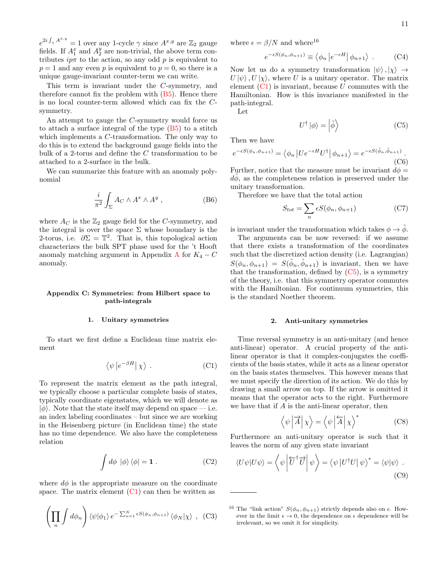$e^{2i \int_{\gamma} A^{x,y}} = 1$  over any 1-cycle  $\gamma$  since  $A^{x,y}$  are  $\mathbb{Z}_2$  gauge fields. If  $A_1^x$  and  $A_2^y$  are non-trivial, the above term contributes  $ip\pi$  to the action, so any odd p is equivalent to  $p = 1$  and any even p is equivalent to  $p = 0$ , so there is a unique gauge-invariant counter-term we can write.

This term is invariant under the C-symmetry, and therefore cannot fix the problem with  $(B5)$ . Hence there is no local counter-term allowed which can fix the Csymmetry.

An attempt to gauge the C-symmetry would force us to attach a surface integral of the type  $(B5)$  to a stitch which implements a C-transformation. The only way to do this is to extend the background gauge fields into the bulk of a 2-torus and define the C transformation to be attached to a 2-surface in the bulk.

We can summarize this feature with an anomaly polynomial

$$
\frac{i}{\pi^2} \int_{\Sigma} A_C \wedge A^x \wedge A^y , \qquad (B6)
$$

where  $A_C$  is the  $\mathbb{Z}_2$  gauge field for the C-symmetry, and the integral is over the space  $\Sigma$  whose boundary is the 2-torus, i.e.  $\partial \Sigma = \mathbb{T}^2$ . That is, this topological action characterizes the bulk SPT phase used for the 't Hooft anomaly matching argument in [A](#page-9-0)ppendix A for  $K_4 - C$ anomaly.

## <span id="page-11-0"></span>Appendix C: Symmetries: from Hilbert space to path-integrals

#### 1. Unitary symmetries

To start we first define a Euclidean time matrix element

<span id="page-11-1"></span>
$$
\langle \psi | e^{-\beta H} | \chi \rangle . \tag{C1}
$$

To represent the matrix element as the path integral, we typically choose a particular complete basis of states, typically coordinate eigenstates, which we will denote as  $|\phi\rangle$ . Note that the state itself may depend on space — i.e. an index labeling coordinates – but since we are working in the Heisenberg picture (in Euclidean time) the state has no time dependence. We also have the completeness relation

$$
\int d\phi \, |\phi\rangle \, \langle \phi| = 1 \,. \tag{C2}
$$

where  $d\phi$  is the appropriate measure on the coordinate space. The matrix element  $(C1)$  can then be written as

$$
\left(\prod_{n} \int d\phi_n\right) \langle \psi | \phi_1 \rangle \, e^{-\sum_{n=1}^{N} \epsilon S(\phi_n, \phi_{n+1})} \langle \phi_N | \chi \rangle \quad (C3)
$$

where  $\epsilon = \beta/N$  and where<sup>16</sup>

$$
e^{-\epsilon S(\phi_n, \phi_{n+1})} \equiv \langle \phi_n | e^{-\epsilon H} | \phi_{n+1} \rangle . \qquad (C4)
$$

Now let us do a symmetry transformation  $|\psi\rangle, |\chi\rangle \rightarrow$  $U |\psi\rangle$ ,  $U |\chi\rangle$ , where U is a unitary operator. The matrix element  $(C1)$  is invariant, because U commutes with the Hamiltonian. How is this invariance manifested in the path-integral.

Let

<span id="page-11-2"></span>
$$
U^{\dagger} |\phi\rangle = \left| \tilde{\phi} \right\rangle \tag{C5}
$$

Then we have

<span id="page-11-3"></span>
$$
e^{-\epsilon S(\phi_n, \phi_{n+1})} = \langle \phi_n | U e^{-\epsilon H} U^{\dagger} | \phi_{n+1} \rangle = e^{-\epsilon S(\tilde{\phi}_n, \tilde{\phi}_{n+1})}.
$$
\n(C6)

Further, notice that the measure must be invariant  $d\phi =$  $d\phi$ , as the completeness relation is preserved under the unitary transformation.

Therefore we have that the total action

$$
S_{tot} = \sum_{n} \epsilon S(\phi_n, \phi_{n+1})
$$
 (C7)

is invariant under the transformation which takes  $\phi \to \phi$ .

The arguments can be now reversed: if we assume that there exists a transformation of the coordinates such that the discretized action density (i.e. Lagrangian)  $S(\phi_n, \phi_{n+1}) = S(\tilde{\phi}_n, \tilde{\phi}_{n+1})$  is invariant, then we have that the transformation, defined by  $(C5)$ , is a symmetry of the theory, i.e. that this symmetry operator commutes with the Hamiltonian. For continuum symmetries, this is the standard Noether theorem.

#### 2. Anti-unitary symmetries

Time reversal symmetry is an anti-unitary (and hence anti-linear) operator. A crucial property of the antilinear operator is that it complex-conjugates the coefficients of the basis states, while it acts as a linear operator on the basis states themselves. This however means that we must specify the direction of its action. We do this by drawing a small arrow on top. If the arrow is omitted it means that the operator acts to the right. Furthermore we have that if  $A$  is the anti-linear operator, then

$$
\left\langle \psi \left| \overrightarrow{A} \right| \chi \right\rangle = \left\langle \psi \left| \overleftarrow{A} \right| \chi \right\rangle^* \tag{C8}
$$

Furthermore an anti-unitary operator is such that it leaves the norm of any given state invariant

$$
\langle U\psi|U\psi\rangle = \left\langle \psi \left| \overleftarrow{U}^{\dagger} \overrightarrow{U} \right| \psi \right\rangle = \left\langle \psi \left| U^{\dagger} U \right| \psi \right\rangle^* = \left\langle \psi | \psi \right\rangle . \tag{C9}
$$

<sup>&</sup>lt;sup>16</sup> The "link action"  $S(\phi_n, \phi_{n+1})$  strictly depends also on  $\epsilon$ . However in the limit  $\epsilon \to 0$ , the dependence on  $\epsilon$  dependence will be irrelevant, so we omit it for simplicity.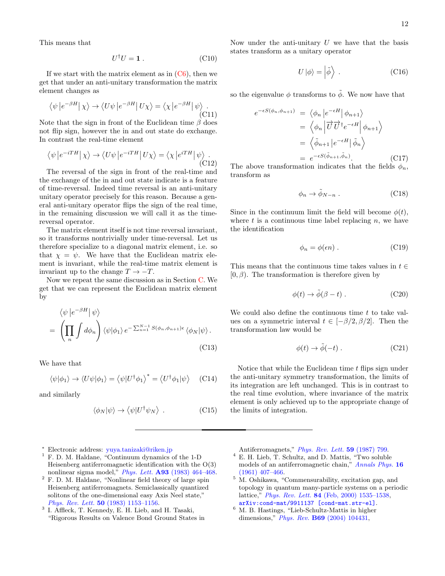This means that

$$
U^{\dagger}U = \mathbf{1} \,. \tag{C10}
$$

If we start with the matrix element as in  $(C6)$ , then we get that under an anti-unitary transformation the matrix element changes as

$$
\langle \psi | e^{-\beta H} | \chi \rangle \to \langle U \psi | e^{-\beta H} | U \chi \rangle = \langle \chi | e^{-\beta H} | \psi \rangle .
$$
\n(C11)

Note that the sign in front of the Euclidean time  $\beta$  does not flip sign, however the in and out state do exchange. In contrast the real-time element

$$
\langle \psi | e^{-iTH} | \chi \rangle \to \langle U\psi | e^{-iTH} | U\chi \rangle = \langle \chi | e^{iTH} | \psi \rangle .
$$
\n(C12)

The reversal of the sign in front of the real-time and the exchange of the in and out state indicate is a feature of time-reversal. Indeed time reversal is an anti-unitary unitary operator precisely for this reason. Because a general anti-unitary operator flips the sign of the real time, in the remaining discussion we will call it as the timereversal operator.

The matrix element itself is not time reversal invariant, so it transforms nontrivially under time-reversal. Let us therefore specialize to a diagonal matrix element, i.e. so that  $\chi = \psi$ . We have that the Euclidean matrix element is invariant, while the real-time matrix element is invariant up to the change  $T \rightarrow -T$ .

Now we repeat the same discussion as in Section [C.](#page-11-0) We get that we can represent the Euclidean matrix element by

$$
\langle \psi | e^{-\beta H} | \psi \rangle
$$
  
= 
$$
\left( \prod_{n} \int d\phi_{n} \right) \langle \psi | \phi_{1} \rangle e^{-\sum_{n=1}^{N-1} S(\phi_{n}, \phi_{n+1}) \epsilon} \langle \phi_{N} | \psi \rangle.
$$
 (C13)

We have that

$$
\langle \psi | \phi_1 \rangle \to \langle U \psi | \phi_1 \rangle = \langle \psi | U^{\dagger} \phi_1 \rangle^* = \langle U^{\dagger} \phi_1 | \psi \rangle \quad \text{(C14)}
$$

and similarly

$$
\langle \phi_N | \psi \rangle \to \langle \psi | U^{\dagger} \psi_N \rangle \ . \tag{C15}
$$

- <span id="page-12-0"></span><sup>∗</sup> Electronic address: [yuya.tanizaki@riken.jp](mailto:yuya.tanizaki@riken.jp)
- <span id="page-12-1"></span> $^1$  F. D. M. Haldane, "Continuum dynamics of the 1-D Heisenberg antiferromagnetic identification with the O(3) nonlinear sigma model," *Phys. Lett.*  $\overrightarrow{A93}$  (1983) 464-468.
- <span id="page-12-2"></span><sup>2</sup> F. D. M. Haldane, "Nonlinear field theory of large spin Heisenberg antiferromagnets. Semiclassically quantized solitons of the one-dimensional easy Axis Neel state," Phys. Rev. Lett. 50 [\(1983\) 1153–1156.](http://dx.doi.org/10.1103/PhysRevLett.50.1153)
- <span id="page-12-3"></span>3 I. Affleck, T. Kennedy, E. H. Lieb, and H. Tasaki, "Rigorous Results on Valence Bond Ground States in

Now under the anti-unitary  $U$  we have that the basis states transform as a unitary operator

$$
U |\phi\rangle = |\tilde{\phi}\rangle . \qquad (C16)
$$

so the eigenvalue  $\phi$  transforms to  $\tilde{\phi}$ . We now have that

$$
e^{-\epsilon S(\phi_n, \phi_{n+1})} = \langle \phi_n | e^{-\epsilon H} | \phi_{n+1} \rangle
$$
  
\n
$$
= \langle \phi_n | \overrightarrow{U} \overrightarrow{U}^{\dagger} e^{-\epsilon H} | \phi_{n+1} \rangle
$$
  
\n
$$
= \langle \tilde{\phi}_{n+1} | e^{-\epsilon H} | \tilde{\phi}_n \rangle
$$
  
\n
$$
= e^{-\epsilon S(\tilde{\phi}_{n+1}, \tilde{\phi}_n)}.
$$
 (C17)

The above transformation indicates that the fields  $\phi_n$ , transform as

$$
\phi_n \to \tilde{\phi}_{N-n} . \tag{C18}
$$

Since in the continuum limit the field will become  $\phi(t)$ , where  $t$  is a continuous time label replacing  $n$ , we have the identification

$$
\phi_n = \phi(\epsilon n) \tag{C19}
$$

This means that the continuous time takes values in  $t \in$  $[0, \beta)$ . The transformation is therefore given by

$$
\phi(t) \to \tilde{\phi}(\beta - t) . \tag{C20}
$$

We could also define the continuous time  $t$  to take values on a symmetric interval  $t \in [-\beta/2, \beta/2]$ . Then the transformation law would be

$$
\phi(t) \to \tilde{\phi}(-t) . \tag{C21}
$$

Notice that while the Euclidean time  $t$  flips sign under the anti-unitary symmetry transformation, the limits of its integration are left unchanged. This is in contrast to the real time evolution, where invariance of the matrix element is only achieved up to the appropriate change of the limits of integration.

Antiferromagnets," *[Phys. Rev. Lett.](http://dx.doi.org/10.1103/PhysRevLett.59.799)* **59** (1987) 799.

- <span id="page-12-4"></span> $^4$  E. H. Lieb,  $\bar{\rm T}.$  Schultz, and D. Mattis, "Two soluble models of an antiferromagnetic chain," [Annals Phys.](http://dx.doi.org/10.1016/0003-4916(61)90115-4) 16 [\(1961\) 407–466.](http://dx.doi.org/10.1016/0003-4916(61)90115-4)
- <sup>5</sup> M. Oshikawa, "Commensurability, excitation gap, and topology in quantum many-particle systems on a periodic lattice," Phys. Rev. Lett. 84 [\(Feb, 2000\) 1535–1538,](http://dx.doi.org/10.1103/PhysRevLett.84.1535) [arXiv:cond-mat/9911137 \[cond-mat.str-el\]](http://arxiv.org/abs/cond-mat/9911137).
- <span id="page-12-5"></span> $^6$  M. B. Hastings, "Lieb-Schultz-Mattis in higher dimensions," *Phys. Rev.* **B69** [\(2004\) 104431,](http://dx.doi.org/10.1103/PhysRevB.69.104431)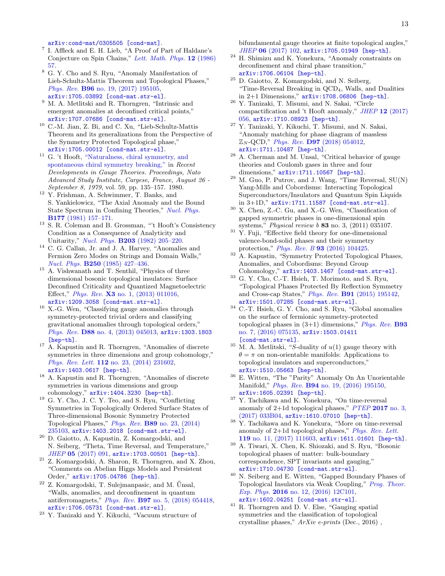[arXiv:cond-mat/0305505 \[cond-mat\]](http://arxiv.org/abs/cond-mat/0305505).

- <span id="page-13-0"></span>7 I. Affleck and E. H. Lieb, "A Proof of Part of Haldane's Conjecture on Spin Chains," [Lett. Math. Phys.](http://dx.doi.org/10.1007/BF00400304) 12 (1986) [57.](http://dx.doi.org/10.1007/BF00400304)
- <span id="page-13-1"></span><sup>8</sup> G. Y. Cho and S. Ryu, "Anomaly Manifestation of Lieb-Schultz-Mattis Theorem and Topological Phases," Phys. Rev. B96 [no. 19, \(2017\) 195105,](http://dx.doi.org/10.1103/PhysRevB.96.195105) [arXiv:1705.03892 \[cond-mat.str-el\]](http://arxiv.org/abs/1705.03892).
- <span id="page-13-12"></span> $^9$  M. A. Metlitski and R. Thorngren, "Intrinsic and emergent anomalies at deconfined critical points," [arXiv:1707.07686 \[cond-mat.str-el\]](http://arxiv.org/abs/1707.07686).
- <span id="page-13-2"></span> $^{10}$  C.-M. Jian, Z. Bi, and C. Xu, "Lieb-Schultz-Mattis Theorem and its generalizations from the Perspective of the Symmetry Protected Topological phase," [arXiv:1705.00012 \[cond-mat.str-el\]](http://arxiv.org/abs/1705.00012).
- <span id="page-13-3"></span> $^{11}\,$  G. 't Hooft, ["Naturalness, chiral symmetry, and](http://dx.doi.org/10.1007/978-1-4684-7571-5_9) [spontaneous chiral symmetry breaking,"](http://dx.doi.org/10.1007/978-1-4684-7571-5_9) in Recent Developments in Gauge Theories. Proceedings, Nato Advanced Study Institute, Cargese, France, August 26 - September 8, 1979, vol. 59, pp. 135–157. 1980.
- <sup>12</sup> Y. Frishman, A. Schwimmer, T. Banks, and S. Yankielowicz, "The Axial Anomaly and the Bound State Spectrum in Confining Theories," [Nucl. Phys.](http://dx.doi.org/10.1016/0550-3213(81)90268-6) B177 [\(1981\) 157–171.](http://dx.doi.org/10.1016/0550-3213(81)90268-6)
- <span id="page-13-4"></span><sup>13</sup> S. R. Coleman and B. Grossman, "'t Hooft's Consistency Condition as a Consequence of Analyticity and Unitarity," Nucl. Phys. B203 [\(1982\) 205–220.](http://dx.doi.org/10.1016/0550-3213(82)90028-1)
- <span id="page-13-5"></span><sup>14</sup> C. G. Callan, Jr. and J. A. Harvey, "Anomalies and Fermion Zero Modes on Strings and Domain Walls," Nucl. Phys. B250 [\(1985\) 427–436.](http://dx.doi.org/10.1016/0550-3213(85)90489-4)
- <span id="page-13-6"></span> $^{15}$  A. Vishwanath and T. Senthil, "Physics of three dimensional bosonic topological insulators: Surface Deconfined Criticality and Quantized Magnetoelectric Effect," Phys. Rev. X3 [no. 1, \(2013\) 011016,](http://dx.doi.org/10.1103/PhysRevX.3.011016) [arXiv:1209.3058 \[cond-mat.str-el\]](http://arxiv.org/abs/1209.3058).
- $^{16}\,$  X.-G. Wen, "Classifying gauge anomalies through symmetry-protected trivial orders and classifying gravitational anomalies through topological orders," Phys. Rev. D88 [no. 4, \(2013\) 045013,](http://dx.doi.org/10.1103/PhysRevD.88.045013) [arXiv:1303.1803](http://arxiv.org/abs/1303.1803) [\[hep-th\]](http://arxiv.org/abs/1303.1803).
- <sup>17</sup> A. Kapustin and R. Thorngren, "Anomalies of discrete symmetries in three dimensions and group cohomology," Phys. Rev. Lett. 112 [no. 23, \(2014\) 231602,](http://dx.doi.org/10.1103/PhysRevLett.112.231602) [arXiv:1403.0617 \[hep-th\]](http://arxiv.org/abs/1403.0617).
- <span id="page-13-20"></span><sup>18</sup> A. Kapustin and R. Thorngren, "Anomalies of discrete symmetries in various dimensions and group cohomology," [arXiv:1404.3230 \[hep-th\]](http://arxiv.org/abs/1404.3230).
- <span id="page-13-7"></span><sup>19</sup> G. Y. Cho, J. C. Y. Teo, and S. Ryu, "Conflicting Symmetries in Topologically Ordered Surface States of Three-dimensional Bosonic Symmetry Protected Topological Phases," Phys. Rev. B89 [no. 23, \(2014\)](http://dx.doi.org/10.1103/PhysRevB.89.235103) [235103,](http://dx.doi.org/10.1103/PhysRevB.89.235103) [arXiv:1403.2018 \[cond-mat.str-el\]](http://arxiv.org/abs/1403.2018).
- <span id="page-13-8"></span><sup>20</sup> D. Gaiotto, A. Kapustin, Z. Komargodski, and N. Seiberg, "Theta, Time Reversal, and Temperature," JHEP 05 [\(2017\) 091,](http://dx.doi.org/10.1007/JHEP05(2017)091) [arXiv:1703.00501 \[hep-th\]](http://arxiv.org/abs/1703.00501).
- <span id="page-13-19"></span><sup>21</sup> Z. Komargodski, A. Sharon, R. Thorngren, and X. Zhou, "Comments on Abelian Higgs Models and Persistent Order," [arXiv:1705.04786 \[hep-th\]](http://arxiv.org/abs/1705.04786).
- <span id="page-13-9"></span> $^{22}$  Z. Komargodski, T. Sulejmanpasic, and M. Ünsal, "Walls, anomalies, and deconfinement in quantum antiferromagnets," Phys. Rev. B97 [no. 5, \(2018\) 054418,](http://dx.doi.org/10.1103/PhysRevB.97.054418) [arXiv:1706.05731 \[cond-mat.str-el\]](http://arxiv.org/abs/1706.05731).
- <span id="page-13-10"></span><sup>23</sup> Y. Tanizaki and Y. Kikuchi, "Vacuum structure of

bifundamental gauge theories at finite topological angles," JHEP 06 [\(2017\) 102,](http://dx.doi.org/10.1007/JHEP06(2017)102) [arXiv:1705.01949 \[hep-th\]](http://arxiv.org/abs/1705.01949).

- <sup>24</sup> H. Shimizu and K. Yonekura, "Anomaly constraints on deconfinement and chiral phase transition," [arXiv:1706.06104 \[hep-th\]](http://arxiv.org/abs/1706.06104).
- $25$  D. Gaiotto, Z. Komargodski, and N. Seiberg, "Time-Reversal Breaking in QCD4, Walls, and Dualities in 2+1 Dimensions," [arXiv:1708.06806 \[hep-th\]](http://arxiv.org/abs/1708.06806).
- <sup>26</sup> Y. Tanizaki, T. Misumi, and N. Sakai, "Circle compactification and 't Hooft anomaly," JHEP 12 [\(2017\)](http://dx.doi.org/10.1007/JHEP12(2017)056) [056,](http://dx.doi.org/10.1007/JHEP12(2017)056) [arXiv:1710.08923 \[hep-th\]](http://arxiv.org/abs/1710.08923).
- $^{27}$ Y. Tanizaki, Y. Kikuchi, T. Misumi, and N. Sakai, "Anomaly matching for phase diagram of massless  $\mathbb{Z}_N$ -QCD," *Phys. Rev.* **D97** [\(2018\) 054012,](http://dx.doi.org/10.1103/PhysRevD.97.054012) [arXiv:1711.10487 \[hep-th\]](http://arxiv.org/abs/1711.10487).
- <sup>28</sup> A. Cherman and M. Unsal, "Critical behavior of gauge theories and Coulomb gases in three and four dimensions," [arXiv:1711.10567 \[hep-th\]](http://arxiv.org/abs/1711.10567).
- <span id="page-13-11"></span> $29$  M. Guo, P. Putrov, and J. Wang, "Time Reversal,  $SU(N)$ Yang-Mills and Cobordisms: Interacting Topological Superconductors/Insulators and Quantum Spin Liquids in 3+1D," [arXiv:1711.11587 \[cond-mat.str-el\]](http://arxiv.org/abs/1711.11587).
- <span id="page-13-13"></span> $30\,$  X. Chen, Z.-C. Gu, and X.-G. Wen, "Classification of gapped symmetric phases in one-dimensional spin systems," Physical review b 83 no. 3, (2011) 035107.
- <span id="page-13-14"></span> $31$  Y. Fuji, "Effective field theory for one-dimensional valence-bond-solid phases and their symmetry protection," Phys. Rev. B 93 [\(2016\) 104425.](http://dx.doi.org/10.1103/PhysRevB.93.104425)
- <span id="page-13-15"></span> $32$  A. Kapustin, "Symmetry Protected Topological Phases, Anomalies, and Cobordisms: Beyond Group Cohomology," [arXiv:1403.1467 \[cond-mat.str-el\]](http://arxiv.org/abs/1403.1467).
- <sup>33</sup> G. Y. Cho, C.-T. Hsieh, T. Morimoto, and S. Ryu, "Topological Phases Protected By Reflection Symmetry and Cross-cap States," Phys. Rev. B91 [\(2015\) 195142,](http://dx.doi.org/10.1103/PhysRevB.91.195142) [arXiv:1501.07285 \[cond-mat.str-el\]](http://arxiv.org/abs/1501.07285).
- $^{34}$  C.-T. Hsieh, G. Y. Cho, and S. Ryu, "Global anomalies on the surface of fermionic symmetry-protected topological phases in  $(3+1)$  dimensions," *[Phys. Rev.](http://dx.doi.org/10.1103/PhysRevB.93.075135)* **B93** [no. 7, \(2016\) 075135,](http://dx.doi.org/10.1103/PhysRevB.93.075135) [arXiv:1503.01411](http://arxiv.org/abs/1503.01411) [\[cond-mat.str-el\]](http://arxiv.org/abs/1503.01411).
- $35$  M. A. Metlitski, "S-duality of  $u(1)$  gauge theory with  $\theta = \pi$  on non-orientable manifolds: Applications to topological insulators and superconductors," [arXiv:1510.05663 \[hep-th\]](http://arxiv.org/abs/1510.05663).
- <sup>36</sup> E. Witten, "The "Parity" Anomaly On An Unorientable Manifold," Phys. Rev. B94 [no. 19, \(2016\) 195150,](http://dx.doi.org/10.1103/PhysRevB.94.195150) [arXiv:1605.02391 \[hep-th\]](http://arxiv.org/abs/1605.02391).
- <sup>37</sup> Y. Tachikawa and K. Yonekura, "On time-reversal anomaly of  $2+1d$  topological phases," [PTEP](http://dx.doi.org/10.1093/ptep/ptx010) 2017 no. 3, [\(2017\) 033B04,](http://dx.doi.org/10.1093/ptep/ptx010) [arXiv:1610.07010 \[hep-th\]](http://arxiv.org/abs/1610.07010).
- <sup>38</sup> Y. Tachikawa and K. Yonekura, "More on time-reversal anomaly of 2+1d topological phases," [Phys. Rev. Lett.](http://dx.doi.org/10.1103/PhysRevLett.119.111603) 119 [no. 11, \(2017\) 111603,](http://dx.doi.org/10.1103/PhysRevLett.119.111603) [arXiv:1611.01601 \[hep-th\]](http://arxiv.org/abs/1611.01601).
- <span id="page-13-16"></span><sup>39</sup> A. Tiwari, X. Chen, K. Shiozaki, and S. Ryu, "Bosonic topological phases of matter: bulk-boundary correspondence, SPT invariants and gauging, [arXiv:1710.04730 \[cond-mat.str-el\]](http://arxiv.org/abs/1710.04730).
- <span id="page-13-17"></span><sup>40</sup> N. Seiberg and E. Witten, "Gapped Boundary Phases of Topological Insulators via Weak Coupling," [Prog. Theor.](http://dx.doi.org/10.1093/ptep/ptw083) Exp. Phys. **2016** [no. 12, \(2016\) 12C101,](http://dx.doi.org/10.1093/ptep/ptw083) [arXiv:1602.04251 \[cond-mat.str-el\]](http://arxiv.org/abs/1602.04251).
- <span id="page-13-18"></span><sup>41</sup> R. Thorngren and D. V. Else, "Gauging spatial symmetries and the classification of topological crystalline phases,"  $ArXiv$  e-prints (Dec., 2016),